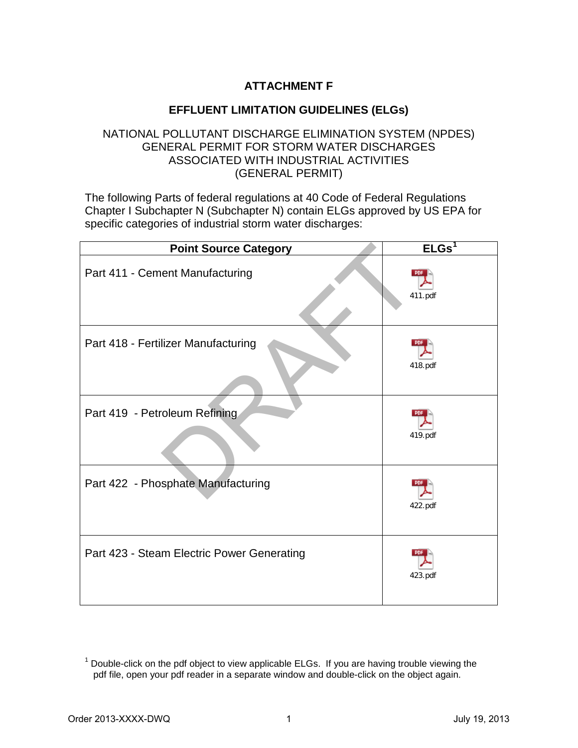## **ATTACHMENT F**

## **EFFLUENT LIMITATION GUIDELINES (ELGs)**

## NATIONAL POLLUTANT DISCHARGE ELIMINATION SYSTEM (NPDES) GENERAL PERMIT FOR STORM WATER DISCHARGES ASSOCIATED WITH INDUSTRIAL ACTIVITIES (GENERAL PERMIT)

The following Parts of federal regulations at 40 Code of Federal Regulations Chapter I Subchapter N (Subchapter N) contain ELGs approved by US EPA for specific categories of industrial storm water discharges:

| <b>Point Source Category</b>               | ELGs <sup>1</sup> |
|--------------------------------------------|-------------------|
| Part 411 - Cement Manufacturing            | 411.pdf           |
| Part 418 - Fertilizer Manufacturing        | 418.pdf           |
| Part 419 - Petroleum Refining              | 419.pdf           |
| Part 422 - Phosphate Manufacturing         | 422.pdf           |
| Part 423 - Steam Electric Power Generating | 423.pdf           |

<span id="page-0-0"></span> $1$  Double-click on the pdf object to view applicable ELGs. If you are having trouble viewing the pdf file, open your pdf reader in a separate window and double-click on the object again.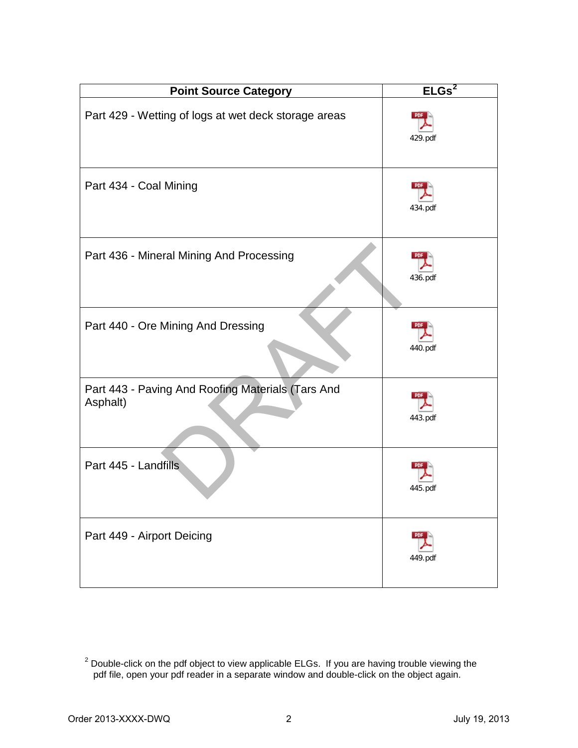| <b>Point Source Category</b>                                  | ELGs <sup>2</sup>     |
|---------------------------------------------------------------|-----------------------|
| Part 429 - Wetting of logs at wet deck storage areas          | 429.pdf               |
| Part 434 - Coal Mining                                        | 434.pdf               |
| Part 436 - Mineral Mining And Processing                      | 436.pdf               |
| Part 440 - Ore Mining And Dressing                            | 440.pdf               |
| Part 443 - Paving And Roofing Materials (Tars And<br>Asphalt) | 443.pdf               |
| Part 445 - Landfills                                          | 445.pdf               |
| Part 449 - Airport Deicing                                    | <b>PDF</b><br>449.pdf |

<span id="page-1-0"></span> $2$  Double-click on the pdf object to view applicable ELGs. If you are having trouble viewing the pdf file, open your pdf reader in a separate window and double-click on the object again.